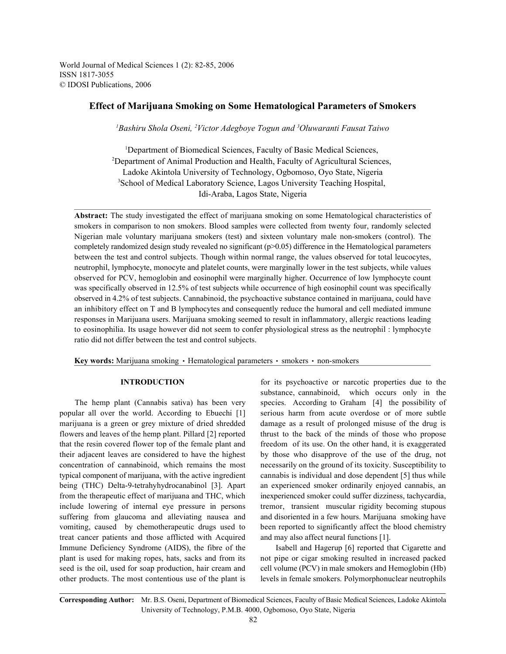World Journal of Medical Sciences 1 (2): 82-85, 2006 ISSN 1817-3055 © IDOSI Publications, 2006

# **Effect of Marijuana Smoking on Some Hematological Parameters of Smokers**

<sup>1</sup>Bashiru Shola Oseni, <sup>2</sup>Victor Adegboye Togun and <sup>3</sup>Oluwaranti Fausat Taiwo

<sup>1</sup>Department of Biomedical Sciences, Faculty of Basic Medical Sciences, <sup>2</sup>Department of Animal Production and Health, Faculty of Agricultural Sciences, Ladoke Akintola University of Technology, Ogbomoso, Oyo State, Nigeria <sup>3</sup>School of Medical Laboratory Science, Lagos University Teaching Hospital, Idi-Araba, Lagos State, Nigeria

**Abstract:** The study investigated the effect of marijuana smoking on some Hematological characteristics of smokers in comparison to non smokers. Blood samples were collected from twenty four, randomly selected Nigerian male voluntary marijuana smokers (test) and sixteen voluntary male non-smokers (control). The completely randomized design study revealed no significant (p>0.05) difference in the Hematological parameters between the test and control subjects. Though within normal range, the values observed for total leucocytes, neutrophil, lymphocyte, monocyte and platelet counts, were marginally lower in the test subjects, while values observed for PCV, hemoglobin and eosinophil were marginally higher. Occurrence of low lymphocyte count was specifically observed in 12.5% of test subjects while occurrence of high eosinophil count was specifically observed in 4.2% of test subjects. Cannabinoid, the psychoactive substance contained in marijuana, could have an inhibitory effect on T and B lymphocytes and consequently reduce the humoral and cell mediated immune responses in Marijuana users. Marijuana smoking seemed to result in inflammatory, allergic reactions leading to eosinophilia. Its usage however did not seem to confer physiological stress as the neutrophil : lymphocyte ratio did not differ between the test and control subjects.

**Key words:** Marijuana smoking • Hematological parameters • smokers • non-smokers

popular all over the world. According to Ebuechi [1] serious harm from acute overdose or of more subtle marijuana is a green or grey mixture of dried shredded damage as a result of prolonged misuse of the drug is flowers and leaves of the hemp plant. Pillard [2] reported thrust to the back of the minds of those who propose that the resin covered flower top of the female plant and freedom of its use. On the other hand, it is exaggerated their adjacent leaves are considered to have the highest by those who disapprove of the use of the drug, not concentration of cannabinoid, which remains the most necessarily on the ground of its toxicity. Susceptibility to typical component of marijuana, with the active ingredient cannabis is individual and dose dependent [5] thus while being (THC) Delta-9-tetrahyhydrocanabinol [3]. Apart an experienced smoker ordinarily enjoyed cannabis, an from the therapeutic effect of marijuana and THC, which inexperienced smoker could suffer dizziness, tachycardia, include lowering of internal eye pressure in persons tremor, transient muscular rigidity becoming stupous suffering from glaucoma and alleviating nausea and and disoriented in a few hours. Marijuana smoking have vomiting, caused by chemotherapeutic drugs used to been reported to significantly affect the blood chemistry treat cancer patients and those afflicted with Acquired and may also affect neural functions [1]. Immune Deficiency Syndrome (AIDS), the fibre of the Isabell and Hagerup [6] reported that Cigarette and plant is used for making ropes, hats, sacks and from its not pipe or cigar smoking resulted in increased packed seed is the oil, used for soap production, hair cream and cell volume (PCV) in male smokers and Hemoglobin (Hb) other products. The most contentious use of the plant is levels in female smokers. Polymorphonuclear neutrophils

**INTRODUCTION** for its psychoactive or narcotic properties due to the The hemp plant (Cannabis sativa) has been very species. According to Graham [4] the possibility of substance, cannabinoid, which occurs only in the

**Corresponding Author:** Mr. B.S. Oseni, Department of Biomedical Sciences, Faculty of Basic Medical Sciences, Ladoke Akintola University of Technology, P.M.B. 4000, Ogbomoso, Oyo State, Nigeria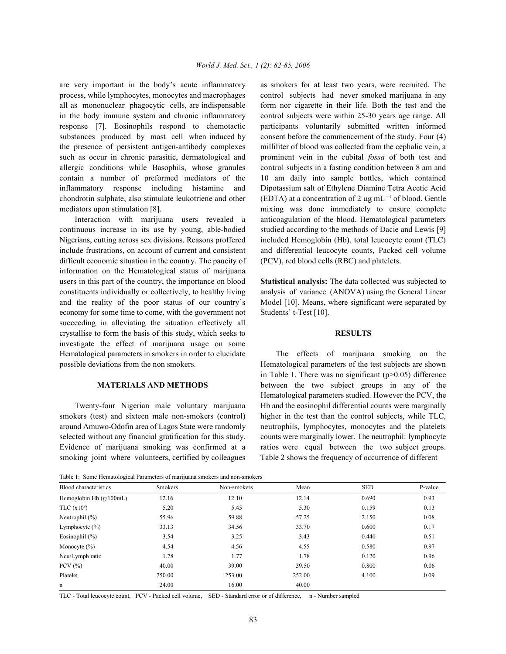process, while lymphocytes, monocytes and macrophages control subjects had never smoked marijuana in any all as mononuclear phagocytic cells, are indispensable form nor cigarette in their life. Both the test and the in the body immune system and chronic inflammatory control subjects were within 25-30 years age range. All response [7]. Eosinophils respond to chemotactic participants voluntarily submitted written informed substances produced by mast cell when induced by consent before the commencement of the study. Four (4) the presence of persistent antigen-antibody complexes milliliter of blood was collected from the cephalic vein, a such as occur in chronic parasitic, dermatological and prominent vein in the cubital *fossa* of both test and allergic conditions while Basophils, whose granules control subjects in a fasting condition between 8 am and contain a number of preformed mediators of the 10 am daily into sample bottles, which contained inflammatory response including histamine and Dipotassium salt of Ethylene Diamine Tetra Acetic Acid chondrotin sulphate, also stimulate leukotriene and other (EDTA) at a concentration of 2  $\mu$ g mL<sup>-1</sup> of blood. Gentle mediators upon stimulation [8]. The mixing was done immediately to ensure complete

continuous increase in its use by young, able-bodied studied according to the methods of Dacie and Lewis [9] Nigerians, cutting across sex divisions. Reasons proffered included Hemoglobin (Hb), total leucocyte count (TLC) include frustrations, on account of current and consistent and differential leucocyte counts, Packed cell volume difficult economic situation in the country. The paucity of (PCV), red blood cells (RBC) and platelets. information on the Hematological status of marijuana users in this part of the country, the importance on blood **Statistical analysis:** The data collected was subjected to constituents individually or collectively, to healthy living analysis of variance (ANOVA) using the General Linear and the reality of the poor status of our country's Model [10]. Means, where significant were separated by economy for some time to come, with the government not Students' t-Test [10]. succeeding in alleviating the situation effectively all crystallise to form the basis of this study, which seeks to **RESULTS** investigate the effect of marijuana usage on some Hematological parameters in smokers in order to elucidate The effects of marijuana smoking on the possible deviations from the non smokers. Hematological parameters of the test subjects are shown

smokers (test) and sixteen male non-smokers (control) higher in the test than the control subjects, while TLC, around Amuwo-Odofin area of Lagos State were randomly neutrophils, lymphocytes, monocytes and the platelets selected without any financial gratification for this study. counts were marginally lower. The neutrophil: lymphocyte Evidence of marijuana smoking was confirmed at a ratios were equal between the two subject groups. smoking joint where volunteers, certified by colleagues Table 2 shows the frequency of occurrence of different

are very important in the body's acute inflammatory as smokers for at least two years, were recruited. The Interaction with marijuana users revealed a anticoagulation of the blood. Hematological parameters

**MATERIALS AND METHODS** between the two subject groups in any of the Twenty-four Nigerian male voluntary marijuana Hb and the eosinophil differential counts were marginally in Table 1. There was no significant  $(p>0.05)$  difference Hematological parameters studied. However the PCV, the

Table 1: Some Hematological Parameters of marijuana smokers and non-smokers

| Blood characteristics     | <b>Smokers</b> | Non-smokers | Mean   | <b>SED</b> | P-value |  |
|---------------------------|----------------|-------------|--------|------------|---------|--|
| Hemoglobin Hb $(g/100mL)$ | 12.16          | 12.10       | 12.14  | 0.690      | 0.93    |  |
| TLC $(x10^9)$             | 5.20           | 5.45        | 5.30   | 0.159      | 0.13    |  |
| Neutrophil $(\% )$        | 55.96          | 59.88       | 57.25  | 2.150      | 0.08    |  |
| Lymphocyte $(\% )$        | 33.13          | 34.56       | 33.70  | 0.600      | 0.17    |  |
| Eosinophil $(\% )$        | 3.54           | 3.25        | 3.43   | 0.440      | 0.51    |  |
| Monocyte $(\% )$          | 4.54           | 4.56        | 4.55   | 0.580      | 0.97    |  |
| Neu/Lymph ratio           | 1.78           | 1.77        | 1.78   | 0.120      | 0.96    |  |
| PCV $(\% )$               | 40.00          | 39.00       | 39.50  | 0.800      | 0.06    |  |
| Platelet                  | 250.00         | 253.00      | 252.00 | 4.100      | 0.09    |  |
| n                         | 24.00          | 16.00       | 40.00  |            |         |  |

TLC - Total leucocyte count, PCV - Packed cell volume, SED - Standard error or of difference, n - Number sampled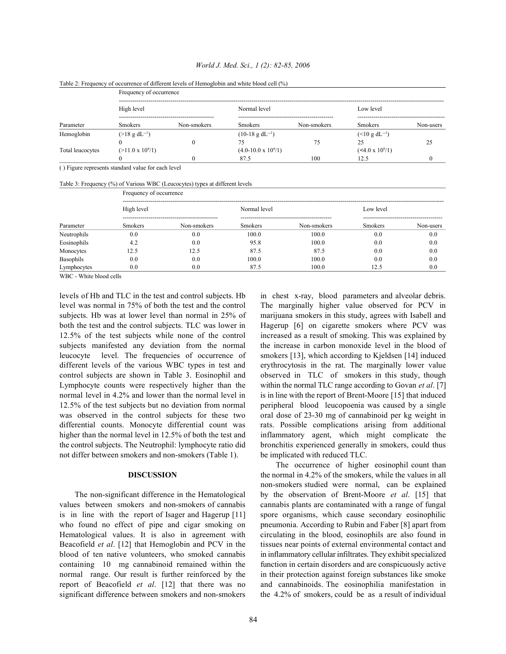### *World J. Med. Sci., 1 (2): 82-85, 2006*

|                  | Frequency of occurrence   |             |                              |             |                           |           |  |  |
|------------------|---------------------------|-------------|------------------------------|-------------|---------------------------|-----------|--|--|
| Parameter        | High level                |             | Normal level                 |             | Low level                 |           |  |  |
|                  | <b>Smokers</b>            | Non-smokers | <b>Smokers</b>               | Non-smokers | <b>Smokers</b>            | Non-users |  |  |
| Hemoglobin       | $(>18 \text{ g dL}^{-1})$ |             | $(10-18 \text{ g } dL^{-1})$ |             | $(<10 \text{ g d}L^{-1})$ |           |  |  |
|                  |                           |             |                              | 75          | 25                        |           |  |  |
| Total leucocytes | $(>11.0 \times 10^{9}/1)$ |             | $(4.0-10.0 \times 10^{9}/1)$ |             | $(<4.0 \times 10^{9}/1)$  |           |  |  |
|                  |                           |             | 87.5                         | 100         | 12.5                      |           |  |  |

Table 2: Frequency of occurrence of different levels of Hemoglobin and white blood cell (%)

( ) Figure represents standard value for each level

| Table 3: Frequency (%) of Various WBC (Leucocytes) types at different levels |  |  |  |  |  |  |  |  |
|------------------------------------------------------------------------------|--|--|--|--|--|--|--|--|
|------------------------------------------------------------------------------|--|--|--|--|--|--|--|--|

|             | Frequency of occurrence |             |                |             |                |           |  |  |
|-------------|-------------------------|-------------|----------------|-------------|----------------|-----------|--|--|
|             | High level              |             | Normal level   |             | Low level      |           |  |  |
| Parameter   | <b>Smokers</b>          | Non-smokers | <b>Smokers</b> | Non-smokers | <b>Smokers</b> | Non-users |  |  |
| Neutrophils | 0.0                     | 0.0         | 100.0          | 100.0       | 0.0            | 0.0       |  |  |
| Eosinophils | 4.2                     | 0.0         | 95.8           | 100.0       | 0.0            | 0.0       |  |  |
| Monocytes   | 12.5                    | 12.5        | 87.5           | 87.5        | 0.0            | 0.0       |  |  |
| Basophils   | 0.0                     | 0.0         | 100.0          | 100.0       | 0.0            | 0.0       |  |  |
| Lymphocytes | 0.0                     | 0.0         | 87.5           | 100.0       | 12.5           | 0.0       |  |  |

WBC - White blood cells

levels of Hb and TLC in the test and control subjects. Hb in chest x-ray, blood parameters and alveolar debris. level was normal in 75% of both the test and the control The marginally higher value observed for PCV in subjects. Hb was at lower level than normal in 25% of marijuana smokers in this study, agrees with Isabell and both the test and the control subjects. TLC was lower in Hagerup [6] on cigarette smokers where PCV was 12.5% of the test subjects while none of the control increased as a result of smoking. This was explained by subjects manifested any deviation from the normal the increase in carbon monoxide level in the blood of leucocyte level. The frequencies of occurrence of smokers [13], which according to Kjeldsen [14] induced different levels of the various WBC types in test and erythrocytosis in the rat. The marginally lower value control subjects are shown in Table 3. Eosinophil and observed in TLC of smokers in this study, though Lymphocyte counts were respectively higher than the within the normal TLC range according to Govan *et al*. [7] normal level in 4.2% and lower than the normal level in is in line with the report of Brent-Moore [15] that induced 12.5% of the test subjects but no deviation from normal peripheral blood leucopoenia was caused by a single was observed in the control subjects for these two oral dose of 23-30 mg of cannabinoid per kg weight in differential counts. Monocyte differential count was rats. Possible complications arising from additional higher than the normal level in 12.5% of both the test and inflammatory agent, which might complicate the the control subjects. The Neutrophil: lymphocyte ratio did bronchitis experienced generally in smokers, could thus not differ between smokers and non-smokers (Table 1). be implicated with reduced TLC.

values between smokers and non-smokers of cannabis cannabis plants are contaminated with a range of fungal is in line with the report of Isager and Hagerup [11] spore organisms, which cause secondary eosinophilic who found no effect of pipe and cigar smoking on pneumonia. According to Rubin and Faber [8] apart from Hematological values. It is also in agreement with circulating in the blood, eosinophils are also found in Beacofield *et al*. [12] that Hemoglobin and PCV in the tissues near points of external environmental contact and blood of ten native volunteers, who smoked cannabis in inflammatory cellular infiltrates. They exhibit specialized containing 10 mg cannabinoid remained within the function in certain disorders and are conspicuously active normal range. Our result is further reinforced by the in their protection against foreign substances like smoke report of Beacofield *et al*. [12] that there was no and cannabinoids. The eosinophilia manifestation in

**DISCUSSION** the normal in 4.2% of the smokers, while the values in all The non-significant difference in the Hematological by the observation of Brent-Moore *et al*. [15] that significant difference between smokers and non-smokers the 4.2% of smokers, could be as a result of individual The occurrence of higher eosinophil count than non-smokers studied were normal, can be explained